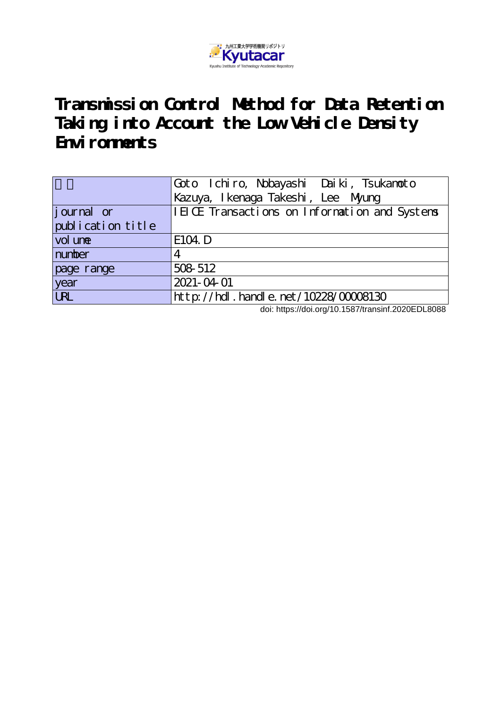

**Transmission Control Method for Data Retention Taking into Account the Low Vehicle Density** Environment<sub>s</sub>

|                   | Goto Ichiro, Nobayashi Daiki, Tsukanoto       |
|-------------------|-----------------------------------------------|
|                   | Kazuya, I kenaga Takeshi, Lee Myung           |
| journal or        | IEICE Transactions on Information and Systems |
| publication title |                                               |
| vol une           | E104. D                                       |
| number            | 4                                             |
| page range        | 508 512                                       |
| year              | 2021-04-01                                    |
| <b>URL</b>        | $http$ ://hdl. handle. net/10228/00008130     |

doi: https://doi.org/10.1587/transinf.2020EDL8088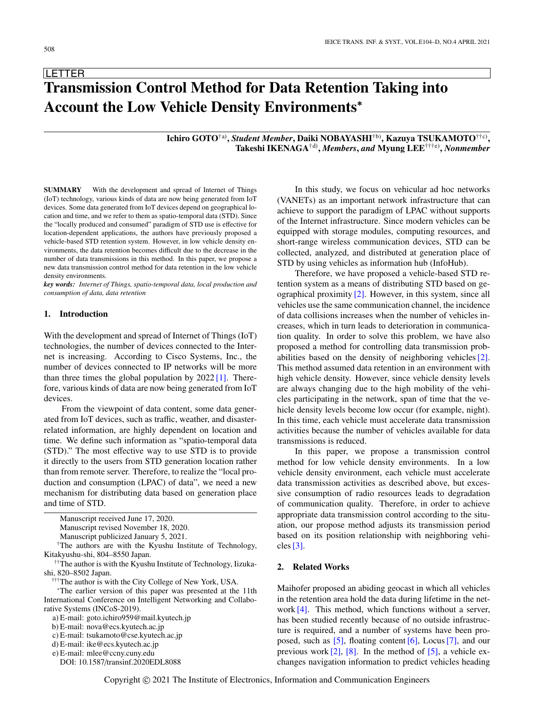**LETTER** 

# **Transmission Control Method for Data Retention Taking into Account the Low Vehicle Density Environments**<sup>∗</sup>

## **Ichiro GOTO**†a) **,** *Student Member***, Daiki NOBAYASHI**†b)**, Kazuya TSUKAMOTO**††c) **, Takeshi IKENAGA**†d) **,** *Members***,** *and* **Myung LEE**†††e) **,** *Nonmember*

**SUMMARY** With the development and spread of Internet of Things (IoT) technology, various kinds of data are now being generated from IoT devices. Some data generated from IoT devices depend on geographical location and time, and we refer to them as spatio-temporal data (STD). Since the "locally produced and consumed" paradigm of STD use is effective for location-dependent applications, the authors have previously proposed a vehicle-based STD retention system. However, in low vehicle density environments, the data retention becomes difficult due to the decrease in the number of data transmissions in this method. In this paper, we propose a new data transmission control method for data retention in the low vehicle density environments.

*key words: Internet of Things, spatio-temporal data, local production and consumption of data, data retention*

## **1. Introduction**

With the development and spread of Internet of Things (IoT) technologies, the number of devices connected to the Internet is increasing. According to Cisco Systems, Inc., the number of devices connected to IP networks will be more than three times the global population by  $2022 \, 11$ . Therefore, various kinds of data are now being generated from IoT devices.

From the viewpoint of data content, some data generated from IoT devices, such as traffic, weather, and disasterrelated information, are highly dependent on location and time. We define such information as "spatio-temporal data (STD)." The most effective way to use STD is to provide it directly to the users from STD generation location rather than from remote server. Therefore, to realize the "local production and consumption (LPAC) of data", we need a new mechanism for distributing data based on generation place and time of STD.

Manuscript publicized January 5, 2021.

†The authors are with the Kyushu Institute of Technology, Kitakyushu-shi, 804–8550 Japan.

††The author is with the Kyushu Institute of Technology, Iizukashi, 820–8502 Japan.

†††The author is with the City College of New York, USA.

<sup>∗</sup>The earlier version of this paper was presented at the 11th International Conference on Intelligent Networking and Collaborative Systems (INCoS-2019).

c) E-mail: tsukamoto@cse.kyutech.ac.jp

d) E-mail: ike@ecs.kyutech.ac.jp

DOI: 10.1587/transinf.2020EDL8088

In this study, we focus on vehicular ad hoc networks (VANETs) as an important network infrastructure that can achieve to support the paradigm of LPAC without supports of the Internet infrastructure. Since modern vehicles can be equipped with storage modules, computing resources, and short-range wireless communication devices, STD can be collected, analyzed, and distributed at generation place of STD by using vehicles as information hub (InfoHub).

Therefore, we have proposed a vehicle-based STD retention system as a means of distributing STD based on geographical proximity [\[2\].](#page-5-1) However, in this system, since all vehicles use the same communication channel, the incidence of data collisions increases when the number of vehicles increases, which in turn leads to deterioration in communication quality. In order to solve this problem, we have also proposed a method for controlling data transmission probabilities based on the density of neighboring vehicles[\[2\].](#page-5-1) This method assumed data retention in an environment with high vehicle density. However, since vehicle density levels are always changing due to the high mobility of the vehicles participating in the network, span of time that the vehicle density levels become low occur (for example, night). In this time, each vehicle must accelerate data transmission activities because the number of vehicles available for data transmissions is reduced.

In this paper, we propose a transmission control method for low vehicle density environments. In a low vehicle density environment, each vehicle must accelerate data transmission activities as described above, but excessive consumption of radio resources leads to degradation of communication quality. Therefore, in order to achieve appropriate data transmission control according to the situation, our propose method adjusts its transmission period based on its position relationship with neighboring vehicles  $[3]$ .

## **2. Related Works**

Maihofer proposed an abiding geocast in which all vehicles in the retention area hold the data during lifetime in the network [\[4\].](#page-5-3) This method, which functions without a server, has been studied recently because of no outside infrastructure is required, and a number of systems have been proposed, such as  $[5]$ , floating content  $[6]$ , Locus  $[7]$ , and our previous work  $[2]$ ,  $[8]$ . In the method of  $[5]$ , a vehicle exchanges navigation information to predict vehicles heading

Manuscript received June 17, 2020.

Manuscript revised November 18, 2020.

a) E-mail: goto.ichiro959@mail.kyutech.jp

b) E-mail: nova@ecs.kyutech.ac.jp

e) E-mail: mlee@ccny.cuny.edu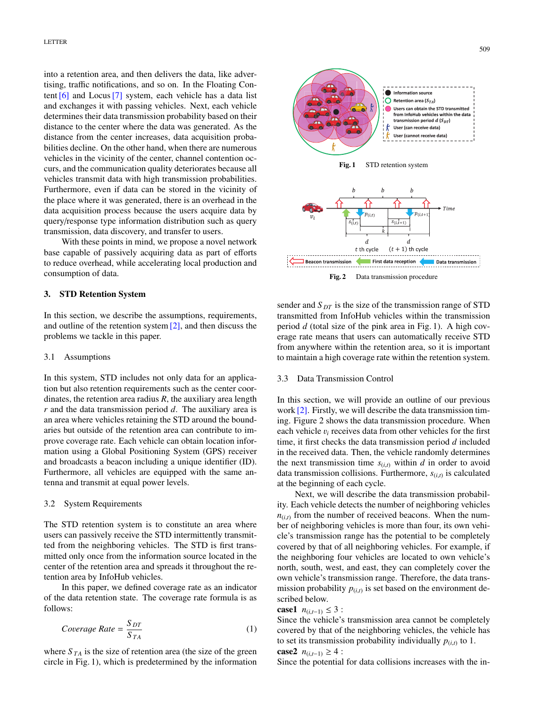into a retention area, and then delivers the data, like advertising, traffic notifications, and so on. In the Floating Content [\[6\]](#page-5-5) and Locus[\[7\]](#page-5-6) system, each vehicle has a data list and exchanges it with passing vehicles. Next, each vehicle determines their data transmission probability based on their distance to the center where the data was generated. As the distance from the center increases, data acquisition probabilities decline. On the other hand, when there are numerous vehicles in the vicinity of the center, channel contention occurs, and the communication quality deteriorates because all vehicles transmit data with high transmission probabilities. Furthermore, even if data can be stored in the vicinity of the place where it was generated, there is an overhead in the data acquisition process because the users acquire data by query/response type information distribution such as query transmission, data discovery, and transfer to users.

With these points in mind, we propose a novel network base capable of passively acquiring data as part of efforts to reduce overhead, while accelerating local production and consumption of data.

## **3. STD Retention System**

In this section, we describe the assumptions, requirements, and outline of the retention system [\[2\],](#page-5-1) and then discuss the problems we tackle in this paper.

#### 3.1 Assumptions

In this system, STD includes not only data for an application but also retention requirements such as the center coordinates, the retention area radius *R*, the auxiliary area length *r* and the data transmission period *d*. The auxiliary area is an area where vehicles retaining the STD around the boundaries but outside of the retention area can contribute to improve coverage rate. Each vehicle can obtain location information using a Global Positioning System (GPS) receiver and broadcasts a beacon including a unique identifier (ID). Furthermore, all vehicles are equipped with the same antenna and transmit at equal power levels.

#### 3.2 System Requirements

The STD retention system is to constitute an area where users can passively receive the STD intermittently transmitted from the neighboring vehicles. The STD is first transmitted only once from the information source located in the center of the retention area and spreads it throughout the retention area by InfoHub vehicles.

In this paper, we defined coverage rate as an indicator of the data retention state. The coverage rate formula is as follows:

$$
Coverage Rate = \frac{S_{DT}}{S_{TA}}
$$
 (1)

where  $S_{TA}$  is the size of retention area (the size of the green circle in Fig. 1), which is predetermined by the information



**Fig. 2** Data transmission procedure

sender and *S DT* is the size of the transmission range of STD transmitted from InfoHub vehicles within the transmission period *d* (total size of the pink area in Fig. 1). A high coverage rate means that users can automatically receive STD from anywhere within the retention area, so it is important to maintain a high coverage rate within the retention system.

#### 3.3 Data Transmission Control

In this section, we will provide an outline of our previous work [\[2\].](#page-5-1) Firstly, we will describe the data transmission timing. Figure 2 shows the data transmission procedure. When each vehicle v*<sup>i</sup>* receives data from other vehicles for the first time, it first checks the data transmission period *d* included in the received data. Then, the vehicle randomly determines the next transmission time  $s_{(i,t)}$  within *d* in order to avoid data transmission collisions. Furthermore, *s*(*i*,*t*) is calculated at the beginning of each cycle.

Next, we will describe the data transmission probability. Each vehicle detects the number of neighboring vehicles  $n_{(i,t)}$  from the number of received beacons. When the number of neighboring vehicles is more than four, its own vehicle's transmission range has the potential to be completely covered by that of all neighboring vehicles. For example, if the neighboring four vehicles are located to own vehicle's north, south, west, and east, they can completely cover the own vehicle's transmission range. Therefore, the data transmission probability  $p_{(i,t)}$  is set based on the environment described below.

## **case1**  $n_{(i,t-1)}$  ≤ 3 :

Since the vehicle's transmission area cannot be completely covered by that of the neighboring vehicles, the vehicle has to set its transmission probability individually  $p_{(i,t)}$  to 1.

**case2** 
$$
n_{(i,t-1)} \geq 4
$$
:

Since the potential for data collisions increases with the in-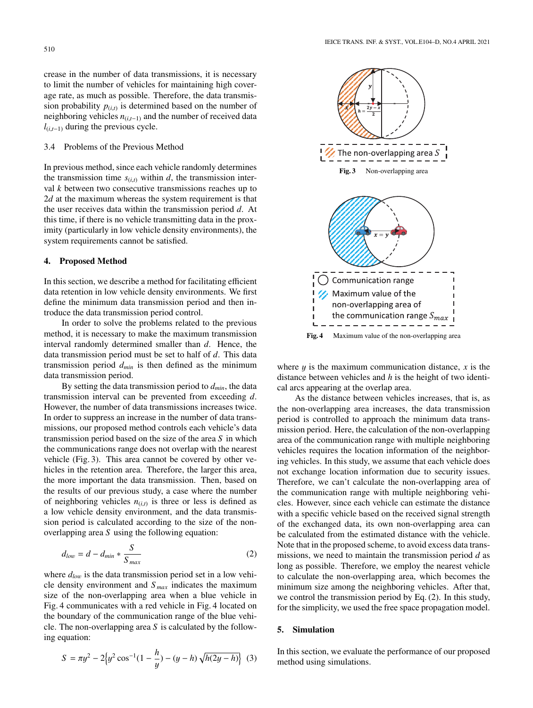crease in the number of data transmissions, it is necessary to limit the number of vehicles for maintaining high coverage rate, as much as possible. Therefore, the data transmission probability  $p_{(i,t)}$  is determined based on the number of neighboring vehicles  $n_{(i,t-1)}$  and the number of received data *l*(*i*,*t*−1) during the previous cycle.

## 3.4 Problems of the Previous Method

In previous method, since each vehicle randomly determines the transmission time  $s_{(i,t)}$  within *d*, the transmission interval *k* between two consecutive transmissions reaches up to 2*d* at the maximum whereas the system requirement is that the user receives data within the transmission period *d*. At this time, if there is no vehicle transmitting data in the proximity (particularly in low vehicle density environments), the system requirements cannot be satisfied.

#### **4. Proposed Method**

In this section, we describe a method for facilitating efficient data retention in low vehicle density environments. We first define the minimum data transmission period and then introduce the data transmission period control.

In order to solve the problems related to the previous method, it is necessary to make the maximum transmission interval randomly determined smaller than *d*. Hence, the data transmission period must be set to half of *d*. This data transmission period *dmin* is then defined as the minimum data transmission period.

By setting the data transmission period to *dmin*, the data transmission interval can be prevented from exceeding *d*. However, the number of data transmissions increases twice. In order to suppress an increase in the number of data transmissions, our proposed method controls each vehicle's data transmission period based on the size of the area *S* in which the communications range does not overlap with the nearest vehicle (Fig. 3). This area cannot be covered by other vehicles in the retention area. Therefore, the larger this area, the more important the data transmission. Then, based on the results of our previous study, a case where the number of neighboring vehicles  $n_{(i,t)}$  is three or less is defined as a low vehicle density environment, and the data transmission period is calculated according to the size of the nonoverlapping area *S* using the following equation:

$$
d_{low} = d - d_{min} * \frac{S}{S_{max}} \tag{2}
$$

where  $d_{low}$  is the data transmission period set in a low vehicle density environment and *S max* indicates the maximum size of the non-overlapping area when a blue vehicle in Fig. 4 communicates with a red vehicle in Fig. 4 located on the boundary of the communication range of the blue vehicle. The non-overlapping area *S* is calculated by the following equation:

$$
S = \pi y^2 - 2\left\{y^2 \cos^{-1}(1 - \frac{h}{y}) - (y - h)\sqrt{h(2y - h)}\right\}
$$
 (3)



where  $y$  is the maximum communication distance,  $x$  is the distance between vehicles and *h* is the height of two identical arcs appearing at the overlap area.

As the distance between vehicles increases, that is, as the non-overlapping area increases, the data transmission period is controlled to approach the minimum data transmission period. Here, the calculation of the non-overlapping area of the communication range with multiple neighboring vehicles requires the location information of the neighboring vehicles. In this study, we assume that each vehicle does not exchange location information due to security issues. Therefore, we can't calculate the non-overlapping area of the communication range with multiple neighboring vehicles. However, since each vehicle can estimate the distance with a specific vehicle based on the received signal strength of the exchanged data, its own non-overlapping area can be calculated from the estimated distance with the vehicle. Note that in the proposed scheme, to avoid excess data transmissions, we need to maintain the transmission period *d* as long as possible. Therefore, we employ the nearest vehicle to calculate the non-overlapping area, which becomes the minimum size among the neighboring vehicles. After that, we control the transmission period by Eq. (2). In this study, for the simplicity, we used the free space propagation model.

#### **5. Simulation**

In this section, we evaluate the performance of our proposed method using simulations.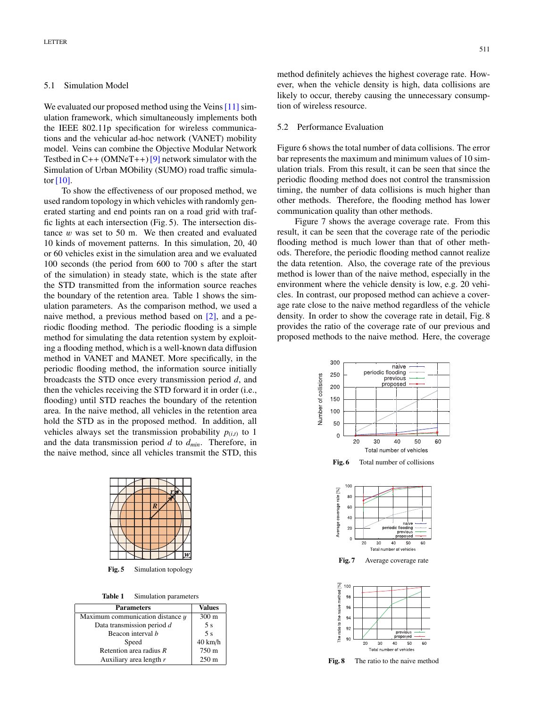#### 5.1 Simulation Model

We evaluated our proposed method using the Veins  $[11]$  simulation framework, which simultaneously implements both the IEEE 802.11p specification for wireless communications and the vehicular ad-hoc network (VANET) mobility model. Veins can combine the Objective Modular Network Testbed in  $C++$  (OMNeT++) [\[9\]](#page-5-9) network simulator with the Simulation of Urban MObility (SUMO) road traffic simulator  $[10]$ .

To show the effectiveness of our proposed method, we used random topology in which vehicles with randomly generated starting and end points ran on a road grid with traffic lights at each intersection (Fig. 5). The intersection distance  $w$  was set to 50 m. We then created and evaluated 10 kinds of movement patterns. In this simulation, 20, 40 or 60 vehicles exist in the simulation area and we evaluated 100 seconds (the period from 600 to 700 s after the start of the simulation) in steady state, which is the state after the STD transmitted from the information source reaches the boundary of the retention area. Table 1 shows the simulation parameters. As the comparison method, we used a naive method, a previous method based on [\[2\],](#page-5-1) and a periodic flooding method. The periodic flooding is a simple method for simulating the data retention system by exploiting a flooding method, which is a well-known data diffusion method in VANET and MANET. More specifically, in the periodic flooding method, the information source initially broadcasts the STD once every transmission period *d*, and then the vehicles receiving the STD forward it in order (i.e., flooding) until STD reaches the boundary of the retention area. In the naive method, all vehicles in the retention area hold the STD as in the proposed method. In addition, all vehicles always set the transmission probability  $p_{(i,t)}$  to 1 and the data transmission period *d* to *dmin*. Therefore, in the naive method, since all vehicles transmit the STD, this

**Fig. 5** Simulation topology

**Table 1** Simulation parameters

| <b>Parameters</b>                    | <b>Values</b>     |  |  |
|--------------------------------------|-------------------|--|--|
| Maximum communication distance $\mu$ | $300 \text{ m}$   |  |  |
| Data transmission period d           | 5s                |  |  |
| Beacon interval b                    | 5 <sub>s</sub>    |  |  |
| Speed                                | $40 \text{ km/h}$ |  |  |
| Retention area radius $R$            | 750 m             |  |  |
| Auxiliary area length r              | $250 \text{ m}$   |  |  |

method definitely achieves the highest coverage rate. However, when the vehicle density is high, data collisions are likely to occur, thereby causing the unnecessary consumption of wireless resource.

## 5.2 Performance Evaluation

Figure 6 shows the total number of data collisions. The error bar represents the maximum and minimum values of 10 simulation trials. From this result, it can be seen that since the periodic flooding method does not control the transmission timing, the number of data collisions is much higher than other methods. Therefore, the flooding method has lower communication quality than other methods.

Figure 7 shows the average coverage rate. From this result, it can be seen that the coverage rate of the periodic flooding method is much lower than that of other methods. Therefore, the periodic flooding method cannot realize the data retention. Also, the coverage rate of the previous method is lower than of the naive method, especially in the environment where the vehicle density is low, e.g. 20 vehicles. In contrast, our proposed method can achieve a coverage rate close to the naive method regardless of the vehicle density. In order to show the coverage rate in detail, Fig. 8 provides the ratio of the coverage rate of our previous and proposed methods to the naive method. Here, the coverage